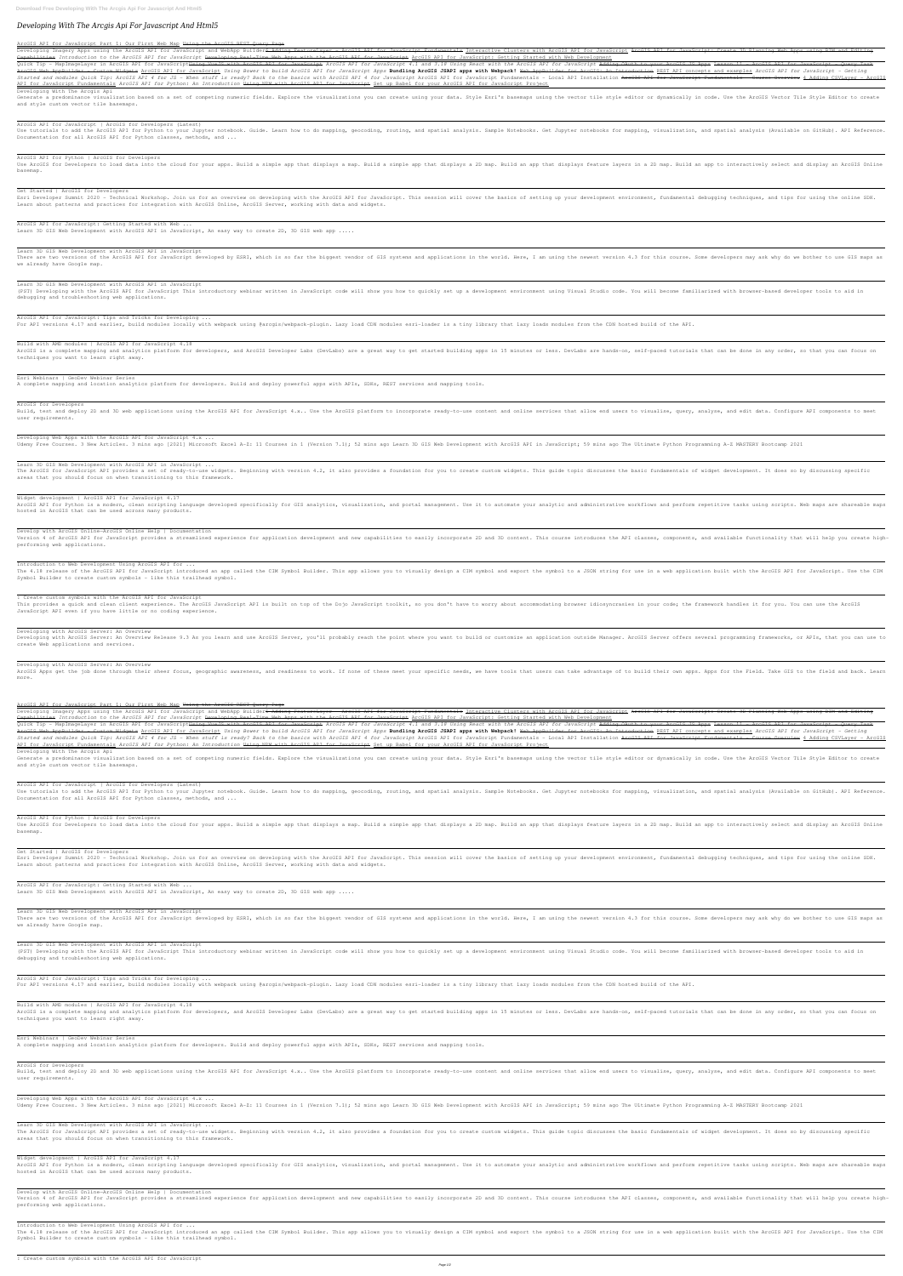# *Developing With The Arcgis Api For Javascript And Html5*

### ArcGIS API for JavaScript Part 1: Our First Web Map Using the ArcGIS REST Query Page

Developing Imagery Apps using the ArcGIS API for JavaScript and WebApp Builder<del>6 Adding FeatureLayer - ArcGIS API for JavaScript ArcGIS API for JavaScript: Create 3D Planning Web Apps using BIM and Editing</del> Capabilities *Introduction to the ArcGIS API for JavaScript* Developing Real-Time Web Apps with the ArcGIS API for JavaScript ArcGIS API for JavaScript: Getting Started with Web Development

Quick Tip - MapImageLayer in ArcGIS API for JavaScript<del>Using VueJS with ArcGIS API for JavaScript ArcGIS API for JavaScript Adding OAuth to your ArcGIS JS Apps Lesson 11 - ArcGIS API for JavaScript - Query Task</del> ArcGIS Web AppBuilder - Custom Widgets <u>ArcGIS API for JavaScript</u> Using Bower to build ArcGIS API for JavaScript Apps **Bundling ArcGIS JSAPI apps with Webpack!** Web AppBuilder for ArcGIS API concepts and examples ArcGIS A Started and modules Quick Tip: ArcGIS API 4 for JS - When stuff is ready? Back to the basics with ArcGIS API for JavaScript Fundamentals - Course Overview 4 Adding CSVLayer - ArcGIS API for JavaScript Fundamentals *ArcGIS API for Python: An Introduction* Using NPM with ArcGIS API for JavaScript Set up Babel for your ArcGIS API for JavaScript Project

Generate a predominance visualization based on a set of competing numeric fields. Explore the visualizations you can create using your data. Style editor or dynamically in code. Use the ArcGIS Vector Tile Style Editor to c and style custom vector tile basemaps.

Use tutorials to add the ArcGIS API for Python to your Jupyter notebook. Guide. Learn how to do mapping, geocoding, routing, and spatial analysis. Sample Notebooks. Get Jupyter notebooks for mapping, visualization, and spa Documentation for all ArcGIS API for Python classes, methods, and ...

Use ArcGIS for Developers to load data into the cloud for your apps. Build a simple app that displays a map. Build an app. Build an app. Build an app. Build an app to interactively select and display an ArcGIS Online basemap.

Esri Developer Summit 2020 - Technical Workshop. Join us for an overview on developing with the ArcGIS API for JavaScript. This session will cover the basics of setting up your development environment, fundamental debuggin Learn about patterns and practices for integration with ArcGIS Online, ArcGIS Server, working with data and widgets.

ArcGIS API for JavaScript: Getting Started with Web ... Learn 3D GIS Web Development with ArcGIS API in JavaScript, An easy way to create 2D, 3D GIS web app .....

### Developing With The Arcgis Api

There are two versions of the ArcGIS API for JavaScript developed by ESRI, which is so far the biggest vendor of GIS systems and applications in the world. Here, I am using the newest version 4.3 for this course. Some deve we already have Google map.

### ArcGIS API for JavaScript | ArcGIS for Developers (Latest)

(PST) Developing with the ArcGIS API for JavaScript This introductory webinar written in JavaScript code will show you how to quickly set up a development environment using Visual Studio code. You will become familiarized debugging and troubleshooting web applications.

ArcGIS is a complete mapping and analytics platform for developers, and ArcGIS Developer Labs (DevLabs) are a great way to get started building apps in 15 minutes or less. DevLabs are hands-on, self-paced tutorials that ca techniques you want to learn right away.

### ArcGIS API for Python | ArcGIS for Developers

Build, test and deploy 2D and 3D web applications using the ArcGIS API for JavaScript 4.x.. Use the ArcGIS platform to incorporate ready-to-use content and online services that allow end users to visualise, query, analyse, user requirements.

### Get Started | ArcGIS for Developers

The ArcGIS for JavaScript API provides a set of ready-to-use widgets. Beginning with version 4.2, it also provides a foundation for you to create custom widgets. This guide topic discusses the basic fundamentals of widget areas that you should focus on when transitioning to this framework.

ArcGIS API for Python is a modern, clean scripting language developed specifically for GIS analytics, visualization, and portal management. Use it to automate your analytics, visualization, and portal management. Use it to hosted in ArcGIS that can be used across many products.

Version 4 of ArcGIS API for JavaScript provides a streamlined experience for application development and new capabilities to easily incorporate 2D and 3D content. This course introduces the API classes, components, and ava performing web applications.

### Learn 3D GIS Web Development with ArcGIS API in JavaScript

### Learn 3D GIS Web Development with ArcGIS API in JavaScript

This provides a quick and clean client experience. The ArcGIS JavaScript API is built on top of the Dojo JavaScript toolkit, so you don't have to worry about accommodating browser idiosyncrasies in your code; the framework JavaScript API even if you have little or no coding experience.

Developing with ArcGIS Server: An Overview Release 9.3 As you learn and use ArcGIS Server, you'll probably reach the point where you want to build or customize an application outside Manager. ArcGIS Server offers several p create Web applications and services.

ArcGIS Apps get the job done through their sheer focus, geographic awareness, and readiness to work. If none of these meet your specific needs, we have tools that users can take advantage of to build their own apps. Apps f more.

ArcGIS API for JavaScript: Tips and Tricks for Developing ...

For API versions 4.17 and earlier, build modules locally with webpack using @arcgis/webpack-plugin. Lazy loader is a tiny library that lazy loads modules from the CDN hosted build of the API.

Developing Imagery Apps using the ArcGIS API for JavaScript and WebApp Builder<del>6 Adding FeatureLayer - ArcGIS API for JavaScript Pundamentals Interactive Clusters with ArcGIS API for JavaScript. Create BD Planning Web Apps</del> Capabilities *Introduction to the ArcGIS API for JavaScript* Developing Real-Time Web Apps with the ArcGIS API for JavaScript ArcGIS API for JavaScript: Getting Started with Web Development

#### Build with AMD modules | ArcGIS API for JavaScript 4.18

### Esri Webinars | GeoDev Webinar Series

A complete mapping and location analytics platform for developers. Build and deploy powerful apps with APIs, SDKs, REST services and mapping tools.

Quick Tip - MapImageLayer in ArcGIS API for JavaScript<del>Using VueJS with ArcGIS API for JavaScript Adding OAuth to your ArcGIS API for JavaScript ArcGIS API for JavaScript Adding OAuth to your ArcGIS APS Apps Lesson 11 - Ar</del> ArcGIS Web AppBuilder – Custom Widgets <u>ArcGIS API for JavaScript</u> Using Bower to build ArcGIS API for JavaScript Apps **Bundling ArcGIS JSAPI apps with Webpack!** Web AppBuilder for ArcGIS API concepts and examples ArcGIS A Started and modules Quick Tip: ArcGIS API 4 for JS - When stuff is ready? Back to the basics with ArcGIS API 4 for JavaScript Fundamentals - Local API for JavaScript Fundamentals - Local API for JavaScript Fundamentals - C API for JavaScript Fundamentals *ArcGIS API for Python: An Introduction* Using NPM with ArcGIS API for JavaScript Set up Babel for your ArcGIS API for JavaScript Project

# ArcGIS for Developers

Generate a predominance visualization based on a set of competing numeric fields. Explore the visualizations you can create using your data. Style editor or dynamically in code. Use the ArcGIS Vector Tile Style Editor to c and style custom vector tile basemaps.

Use tutorials to add the ArcGIS API for Python to your Jupyter notebook. Guide. Learn how to do mapping, geocoding, routing, and spatial analysis. Sample Notebooks. Get Jupyter notebooks for mapping, visualization, and spa Documentation for all ArcGIS API for Python classes, methods, and ...

Developing Web Apps with the ArcGIS API for JavaScript 4.x ...

Udemy Free Courses. 3 New Articles. 3 mins ago [2021] Microsoft Excel A-Z: 11 Courses in 1 (Version 7.1); 52 mins ago Learn 3D GIS Web Development with ArcGIS API in JavaScript; 59 mins ago The Ultimate Python Programming

Learn 3D GIS Web Development with ArcGIS API in JavaScript ...

Use ArcGIS for Developers to load data into the cloud for your apps. Build a simple app that displays a map. Auild a simple app that displays a 2D map. Build an app to interactively select and display an ArcGIS Online basemap.

Esri Developer Summit 2020 - Technical Workshop. Join us for an overview on developing with the ArcGIS API for JavaScript. This session will cover the basics of setting up your development environment, fundamental debuggin Learn about patterns and practices for integration with ArcGIS Online, ArcGIS Server, working with data and widgets.

ArcGIS API for JavaScript: Getting Started with Web ... Learn 3D GIS Web Development with ArcGIS API in JavaScript, An easy way to create 2D, 3D GIS web app .....

There are two versions of the ArcGIS API for JavaScript developed by ESRI, which is so far the biggest vendor of GIS systems and applications in the world. Here, I am using the newest version 4.3 for this course. Some deve we already have Google map.

# Widget development | ArcGIS API for JavaScript 4.17

(PST) Developing with the ArcGIS API for JavaScript This introductory webinar written in JavaScript code will show you how to quickly set up a development environment using Visual Studio code. You will become familiarized debugging and troubleshooting web applications.

# Develop with ArcGIS Online—ArcGIS Online Help | Documentation

ArcGIS is a complete mapping and analytics platform for developers, and ArcGIS Developer Labs (DevLabs) are a great way to get started building apps in 15 minutes or less. DevLabs are hands-on, self-paced tutorials that ca techniques you want to learn right away.

Build, test and deploy 2D and 3D web applications using the ArcGIS API for JavaScript 4.x.. Use the ArcGIS platform to incorporate ready-to-use content and online services that allow end users to visualise, query, analyse, user requirements.

# Introduction to Web Development Using ArcGIS API for ...

The 4.18 release of the ArcGIS API for JavaScript introduced an app called the CIM Symbol Builder. This app allows you to a JSON string for use in a web application built with the ArcGIS API for JavaScript. Use the CIM Symbol Builder to create custom symbols - like this trailhead symbol.

The ArcGIS for JavaScript API provides a set of ready-to-use widgets. Beginning with version 4.2, it also provides a foundation for you to create custom widgets. This guide topic discusses the basic fundamentals of widget areas that you should focus on when transitioning to this framework.

# : Create custom symbols with the ArcGIS API for JavaScript

ArcGIS API for Python is a modern, clean scripting language developed specifically for GIS analytics, visualization, and portal management. Use it to automate your analytics, visualization, and portal management. Use it to hosted in ArcGIS that can be used across many products.

# Developing with ArcGIS Server: An Overview

# Developing with ArcGIS Server: An Overview

### ArcGIS API for JavaScript Part 1: Our First Web Map Using the ArcGIS REST Query Page

### Developing With The Arcgis Api

### ArcGIS API for JavaScript | ArcGIS for Developers (Latest)

### ArcGIS API for Python | ArcGIS for Developers

### Get Started | ArcGIS for Developers

#### Learn 3D GIS Web Development with ArcGIS API in JavaScript

### Learn 3D GIS Web Development with ArcGIS API in JavaScript

#### ArcGIS API for JavaScript: Tips and Tricks for Developing ...

For API versions 4.17 and earlier, build modules locally with webpack using @arcgis/webpack-plugin. Lazy loader is a tiny library that lazy loads modules from the CDN hosted build of the API.

#### Build with AMD modules | ArcGIS API for JavaScript 4.18

# Esri Webinars | GeoDev Webinar Series A complete mapping and location analytics platform for developers. Build and deploy powerful apps with APIs, SDKs, REST services and mapping tools.

ArcGIS for Developers

Developing Web Apps with the ArcGIS API for JavaScript 4.x ...

Udemy Free Courses. 3 New Articles. 3 mins ago [2021] Microsoft Excel A-Z: 11 Courses in 1 (Version 7.1); 52 mins ago Learn 3D GIS Web Development with ArcGIS API in JavaScript; 59 mins ago The Ultimate Python Programming

Learn 3D GIS Web Development with ArcGIS API in JavaScript ...

Widget development | ArcGIS API for JavaScript 4.17

Develop with ArcGIS Online—ArcGIS Online Help | Documentation Version 4 of ArcGIS API for JavaScript provides a streamlined experience for application development and new capabilities to easily incorporate 2D and 3D content. This course introduces the API classes, components, and ava performing web applications.

Introduction to Web Development Using ArcGIS API for ...

The 4.18 release of the ArcGIS API for JavaScript introduced an app called the CIM Symbol Builder. This app allows you to a JSON string for use in a web application built with the ArcGIS API for JavaScript. Use the CIM Symbol Builder to create custom symbols - like this trailhead symbol.